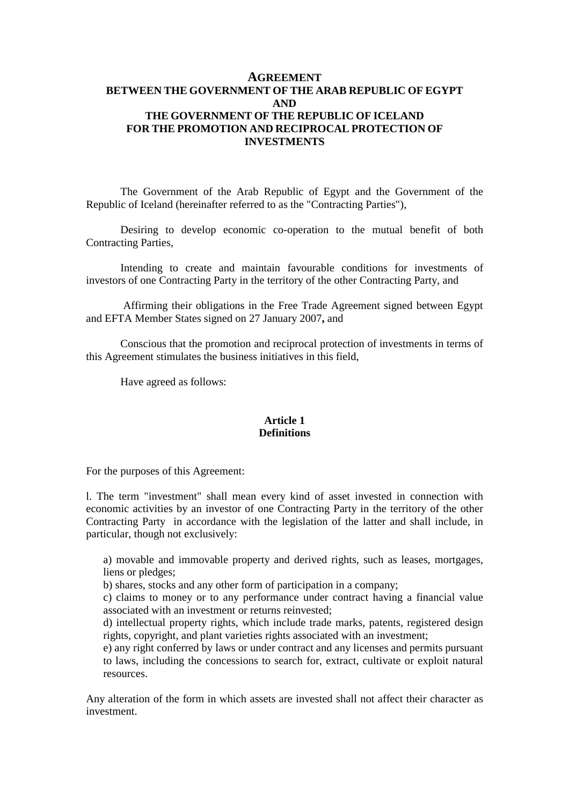# **AGREEMENT BETWEEN THE GOVERNMENT OF THE ARAB REPUBLIC OF EGYPT AND THE GOVERNMENT OF THE REPUBLIC OF ICELAND FOR THE PROMOTION AND RECIPROCAL PROTECTION OF INVESTMENTS**

The Government of the Arab Republic of Egypt and the Government of the Republic of Iceland (hereinafter referred to as the "Contracting Parties"),

Desiring to develop economic co-operation to the mutual benefit of both Contracting Parties,

Intending to create and maintain favourable conditions for investments of investors of one Contracting Party in the territory of the other Contracting Party, and

 Affirming their obligations in the Free Trade Agreement signed between Egypt and EFTA Member States signed on 27 January 2007**,** and

Conscious that the promotion and reciprocal protection of investments in terms of this Agreement stimulates the business initiatives in this field,

Have agreed as follows:

#### **Article 1 Definitions**

For the purposes of this Agreement:

l. The term "investment" shall mean every kind of asset invested in connection with economic activities by an investor of one Contracting Party in the territory of the other Contracting Party in accordance with the legislation of the latter and shall include, in particular, though not exclusively:

a) movable and immovable property and derived rights, such as leases, mortgages, liens or pledges;

b) shares, stocks and any other form of participation in a company;

c) claims to money or to any performance under contract having a financial value associated with an investment or returns reinvested;

d) intellectual property rights, which include trade marks, patents, registered design rights, copyright, and plant varieties rights associated with an investment;

e) any right conferred by laws or under contract and any licenses and permits pursuant to laws, including the concessions to search for, extract, cultivate or exploit natural resources.

Any alteration of the form in which assets are invested shall not affect their character as investment.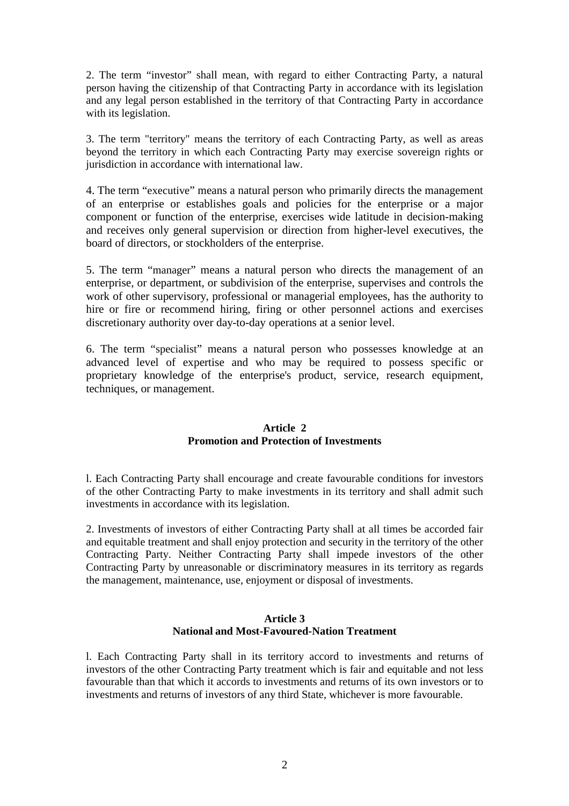2. The term "investor" shall mean, with regard to either Contracting Party, a natural person having the citizenship of that Contracting Party in accordance with its legislation and any legal person established in the territory of that Contracting Party in accordance with its legislation.

3. The term "territory" means the territory of each Contracting Party, as well as areas beyond the territory in which each Contracting Party may exercise sovereign rights or jurisdiction in accordance with international law.

4. The term "executive" means a natural person who primarily directs the management of an enterprise or establishes goals and policies for the enterprise or a major component or function of the enterprise, exercises wide latitude in decision-making and receives only general supervision or direction from higher-level executives, the board of directors, or stockholders of the enterprise.

5. The term "manager" means a natural person who directs the management of an enterprise, or department, or subdivision of the enterprise, supervises and controls the work of other supervisory, professional or managerial employees, has the authority to hire or fire or recommend hiring, firing or other personnel actions and exercises discretionary authority over day-to-day operations at a senior level.

6. The term "specialist" means a natural person who possesses knowledge at an advanced level of expertise and who may be required to possess specific or proprietary knowledge of the enterprise's product, service, research equipment, techniques, or management.

### **Article 2 Promotion and Protection of Investments**

l. Each Contracting Party shall encourage and create favourable conditions for investors of the other Contracting Party to make investments in its territory and shall admit such investments in accordance with its legislation.

2. Investments of investors of either Contracting Party shall at all times be accorded fair and equitable treatment and shall enjoy protection and security in the territory of the other Contracting Party. Neither Contracting Party shall impede investors of the other Contracting Party by unreasonable or discriminatory measures in its territory as regards the management, maintenance, use, enjoyment or disposal of investments.

### **Article 3 National and Most-Favoured-Nation Treatment**

l. Each Contracting Party shall in its territory accord to investments and returns of investors of the other Contracting Party treatment which is fair and equitable and not less favourable than that which it accords to investments and returns of its own investors or to investments and returns of investors of any third State, whichever is more favourable.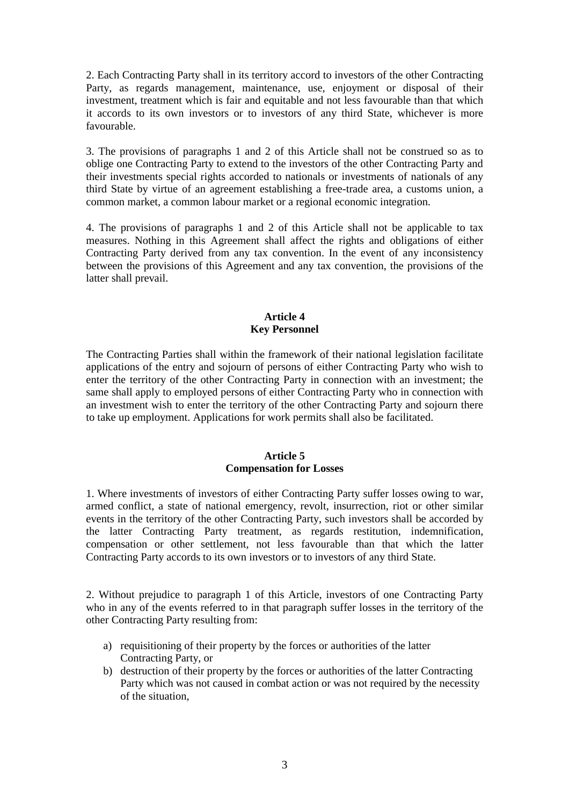2. Each Contracting Party shall in its territory accord to investors of the other Contracting Party, as regards management, maintenance, use, enjoyment or disposal of their investment, treatment which is fair and equitable and not less favourable than that which it accords to its own investors or to investors of any third State, whichever is more favourable.

3. The provisions of paragraphs 1 and 2 of this Article shall not be construed so as to oblige one Contracting Party to extend to the investors of the other Contracting Party and their investments special rights accorded to nationals or investments of nationals of any third State by virtue of an agreement establishing a free-trade area, a customs union, a common market, a common labour market or a regional economic integration.

4. The provisions of paragraphs 1 and 2 of this Article shall not be applicable to tax measures. Nothing in this Agreement shall affect the rights and obligations of either Contracting Party derived from any tax convention. In the event of any inconsistency between the provisions of this Agreement and any tax convention, the provisions of the latter shall prevail.

# **Article 4 Key Personnel**

The Contracting Parties shall within the framework of their national legislation facilitate applications of the entry and sojourn of persons of either Contracting Party who wish to enter the territory of the other Contracting Party in connection with an investment; the same shall apply to employed persons of either Contracting Party who in connection with an investment wish to enter the territory of the other Contracting Party and sojourn there to take up employment. Applications for work permits shall also be facilitated.

# **Article 5 Compensation for Losses**

1. Where investments of investors of either Contracting Party suffer losses owing to war, armed conflict, a state of national emergency, revolt, insurrection, riot or other similar events in the territory of the other Contracting Party, such investors shall be accorded by the latter Contracting Party treatment, as regards restitution, indemnification, compensation or other settlement, not less favourable than that which the latter Contracting Party accords to its own investors or to investors of any third State.

2. Without prejudice to paragraph 1 of this Article, investors of one Contracting Party who in any of the events referred to in that paragraph suffer losses in the territory of the other Contracting Party resulting from:

- a) requisitioning of their property by the forces or authorities of the latter Contracting Party, or
- b) destruction of their property by the forces or authorities of the latter Contracting Party which was not caused in combat action or was not required by the necessity of the situation,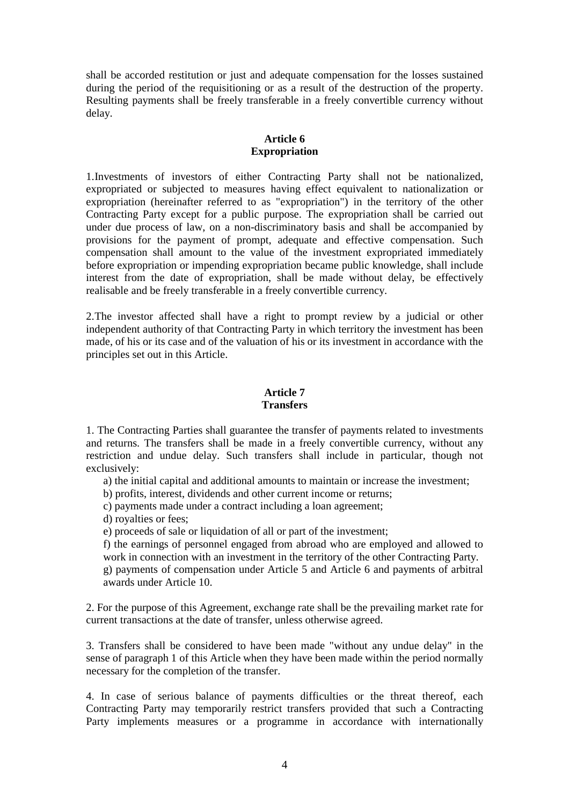shall be accorded restitution or just and adequate compensation for the losses sustained during the period of the requisitioning or as a result of the destruction of the property. Resulting payments shall be freely transferable in a freely convertible currency without delay.

# **Article 6 Expropriation**

1.Investments of investors of either Contracting Party shall not be nationalized, expropriated or subjected to measures having effect equivalent to nationalization or expropriation (hereinafter referred to as "expropriation") in the territory of the other Contracting Party except for a public purpose. The expropriation shall be carried out under due process of law, on a non-discriminatory basis and shall be accompanied by provisions for the payment of prompt, adequate and effective compensation. Such compensation shall amount to the value of the investment expropriated immediately before expropriation or impending expropriation became public knowledge, shall include interest from the date of expropriation, shall be made without delay, be effectively realisable and be freely transferable in a freely convertible currency.

2.The investor affected shall have a right to prompt review by a judicial or other independent authority of that Contracting Party in which territory the investment has been made, of his or its case and of the valuation of his or its investment in accordance with the principles set out in this Article.

# **Article 7 Transfers**

1. The Contracting Parties shall guarantee the transfer of payments related to investments and returns. The transfers shall be made in a freely convertible currency, without any restriction and undue delay. Such transfers shall include in particular, though not exclusively:

a) the initial capital and additional amounts to maintain or increase the investment;

b) profits, interest, dividends and other current income or returns;

c) payments made under a contract including a loan agreement;

d) royalties or fees;

e) proceeds of sale or liquidation of all or part of the investment;

f) the earnings of personnel engaged from abroad who are employed and allowed to work in connection with an investment in the territory of the other Contracting Party.

g) payments of compensation under Article 5 and Article 6 and payments of arbitral awards under Article 10.

2. For the purpose of this Agreement, exchange rate shall be the prevailing market rate for current transactions at the date of transfer, unless otherwise agreed.

3. Transfers shall be considered to have been made "without any undue delay" in the sense of paragraph 1 of this Article when they have been made within the period normally necessary for the completion of the transfer.

4. In case of serious balance of payments difficulties or the threat thereof, each Contracting Party may temporarily restrict transfers provided that such a Contracting Party implements measures or a programme in accordance with internationally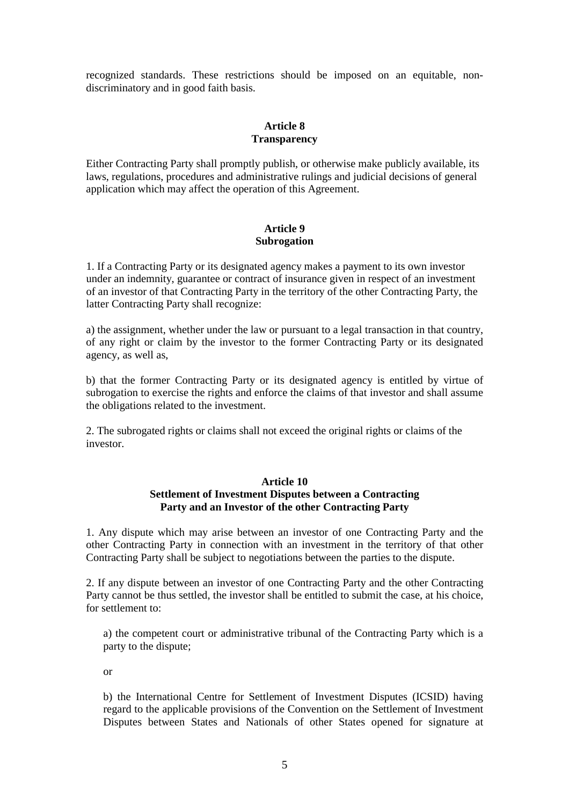recognized standards. These restrictions should be imposed on an equitable, nondiscriminatory and in good faith basis.

### **Article 8 Transparency**

Either Contracting Party shall promptly publish, or otherwise make publicly available, its laws, regulations, procedures and administrative rulings and judicial decisions of general application which may affect the operation of this Agreement.

### **Article 9 Subrogation**

1. If a Contracting Party or its designated agency makes a payment to its own investor under an indemnity, guarantee or contract of insurance given in respect of an investment of an investor of that Contracting Party in the territory of the other Contracting Party, the latter Contracting Party shall recognize:

a) the assignment, whether under the law or pursuant to a legal transaction in that country, of any right or claim by the investor to the former Contracting Party or its designated agency, as well as,

b) that the former Contracting Party or its designated agency is entitled by virtue of subrogation to exercise the rights and enforce the claims of that investor and shall assume the obligations related to the investment.

2. The subrogated rights or claims shall not exceed the original rights or claims of the investor.

#### **Article 10**

# **Settlement of Investment Disputes between a Contracting Party and an Investor of the other Contracting Party**

1. Any dispute which may arise between an investor of one Contracting Party and the other Contracting Party in connection with an investment in the territory of that other Contracting Party shall be subject to negotiations between the parties to the dispute.

2. If any dispute between an investor of one Contracting Party and the other Contracting Party cannot be thus settled, the investor shall be entitled to submit the case, at his choice, for settlement to:

a) the competent court or administrative tribunal of the Contracting Party which is a party to the dispute;

or

b) the International Centre for Settlement of Investment Disputes (ICSID) having regard to the applicable provisions of the Convention on the Settlement of Investment Disputes between States and Nationals of other States opened for signature at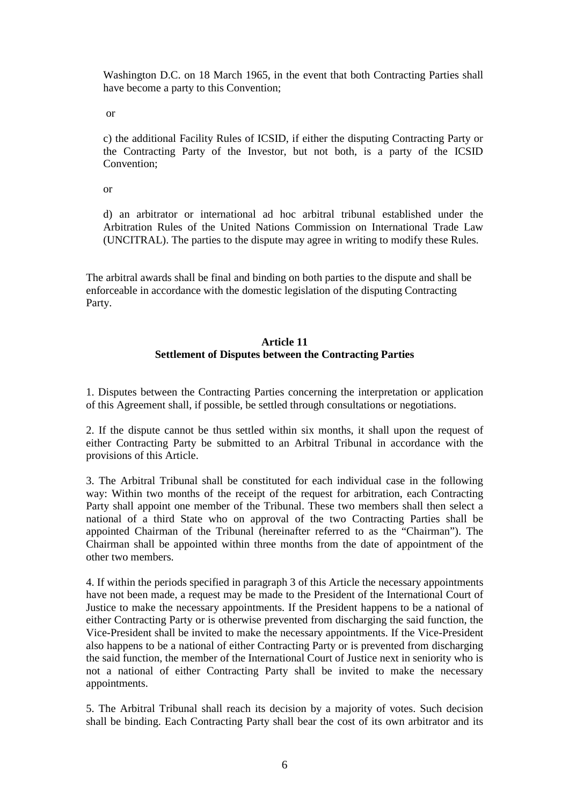Washington D.C. on 18 March 1965, in the event that both Contracting Parties shall have become a party to this Convention;

or

c) the additional Facility Rules of ICSID, if either the disputing Contracting Party or the Contracting Party of the Investor, but not both, is a party of the ICSID Convention;

or

d) an arbitrator or international ad hoc arbitral tribunal established under the Arbitration Rules of the United Nations Commission on International Trade Law (UNCITRAL). The parties to the dispute may agree in writing to modify these Rules.

The arbitral awards shall be final and binding on both parties to the dispute and shall be enforceable in accordance with the domestic legislation of the disputing Contracting Party.

# **Article 11 Settlement of Disputes between the Contracting Parties**

1. Disputes between the Contracting Parties concerning the interpretation or application of this Agreement shall, if possible, be settled through consultations or negotiations.

2. If the dispute cannot be thus settled within six months, it shall upon the request of either Contracting Party be submitted to an Arbitral Tribunal in accordance with the provisions of this Article.

3. The Arbitral Tribunal shall be constituted for each individual case in the following way: Within two months of the receipt of the request for arbitration, each Contracting Party shall appoint one member of the Tribunal. These two members shall then select a national of a third State who on approval of the two Contracting Parties shall be appointed Chairman of the Tribunal (hereinafter referred to as the "Chairman"). The Chairman shall be appointed within three months from the date of appointment of the other two members.

4. If within the periods specified in paragraph 3 of this Article the necessary appointments have not been made, a request may be made to the President of the International Court of Justice to make the necessary appointments. If the President happens to be a national of either Contracting Party or is otherwise prevented from discharging the said function, the Vice-President shall be invited to make the necessary appointments. If the Vice-President also happens to be a national of either Contracting Party or is prevented from discharging the said function, the member of the International Court of Justice next in seniority who is not a national of either Contracting Party shall be invited to make the necessary appointments.

5. The Arbitral Tribunal shall reach its decision by a majority of votes. Such decision shall be binding. Each Contracting Party shall bear the cost of its own arbitrator and its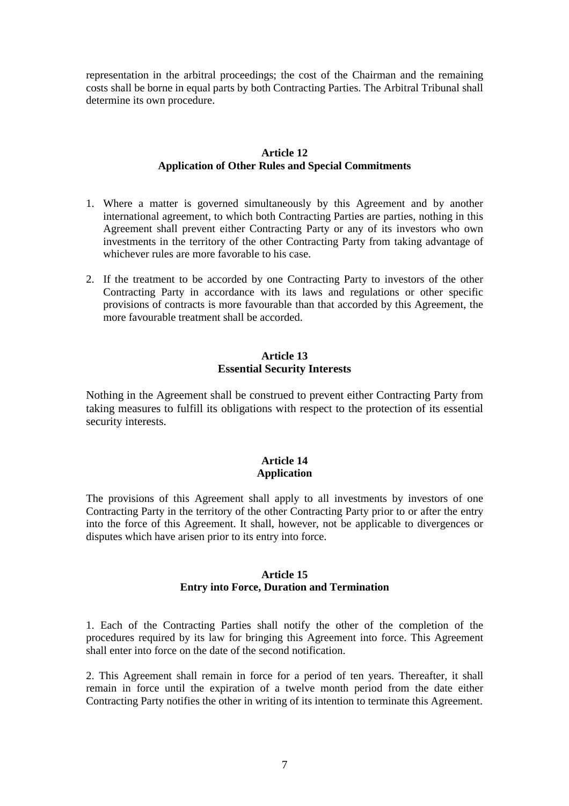representation in the arbitral proceedings; the cost of the Chairman and the remaining costs shall be borne in equal parts by both Contracting Parties. The Arbitral Tribunal shall determine its own procedure.

### **Article 12 Application of Other Rules and Special Commitments**

- 1. Where a matter is governed simultaneously by this Agreement and by another international agreement, to which both Contracting Parties are parties, nothing in this Agreement shall prevent either Contracting Party or any of its investors who own investments in the territory of the other Contracting Party from taking advantage of whichever rules are more favorable to his case.
- 2. If the treatment to be accorded by one Contracting Party to investors of the other Contracting Party in accordance with its laws and regulations or other specific provisions of contracts is more favourable than that accorded by this Agreement, the more favourable treatment shall be accorded.

# **Article 13 Essential Security Interests**

Nothing in the Agreement shall be construed to prevent either Contracting Party from taking measures to fulfill its obligations with respect to the protection of its essential security interests.

# **Article 14 Application**

The provisions of this Agreement shall apply to all investments by investors of one Contracting Party in the territory of the other Contracting Party prior to or after the entry into the force of this Agreement. It shall, however, not be applicable to divergences or disputes which have arisen prior to its entry into force.

### **Article 15 Entry into Force, Duration and Termination**

1. Each of the Contracting Parties shall notify the other of the completion of the procedures required by its law for bringing this Agreement into force. This Agreement shall enter into force on the date of the second notification.

2. This Agreement shall remain in force for a period of ten years. Thereafter, it shall remain in force until the expiration of a twelve month period from the date either Contracting Party notifies the other in writing of its intention to terminate this Agreement.